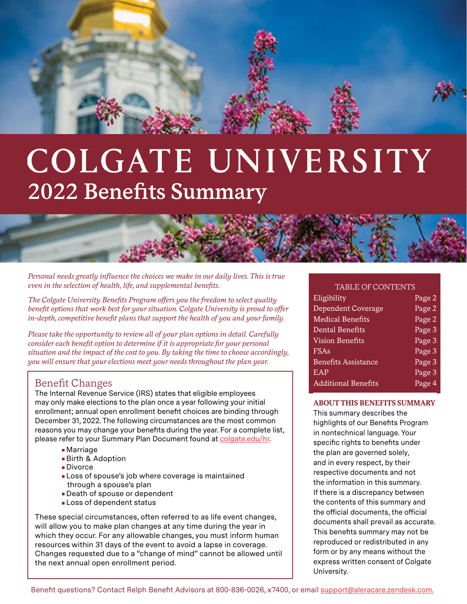

# COLGATE UNIVERSITY **2022 Benefits Summary**

*Personal needs greatly influence the choices we make in our daily lives. This is true even in the selection of health, life, and supplemental benefits.* 

*The Colgate University Benefits Program offers you the freedom to select quality benefit options that work best for your situation. Colgate University is proud to offer in-depth, competitive benefit plans that support the health of you and your family.*

*Please take the opportunity to review all of your plan options in detail. Carefully consider each benefit option to determine if it is appropriate for your personal situation and the impact of the cost to you. By taking the time to choose accordingly, you will ensure that your elections meet your needs throughout the plan year.*

#### Benefit Changes

The Internal Revenue Service (IRS) states that eligible employees may only make elections to the plan once a year following your initial enrollment; annual open enrollment benefit choices are binding through December 31, 2022. The following circumstances are the most common reasons you may change your benefits during the year. For a complete list, please refer to your Summary Plan Document found at [colgate.edu/hr](https://www.colgate.edu/about/offices-centers-institutes/finance-and-administration/human-resources).

- Marriage
- Birth & Adoption
- Divorce
- Loss of spouse's job where coverage is maintained through a spouse's plan
- Death of spouse or dependent
- Loss of dependent status

These special circumstances, often referred to as life event changes, will allow you to make plan changes at any time during the year in which they occur. For any allowable changes, you must inform human resources within 31 days of the event to avoid a lapse in coverage. Changes requested due to a "change of mind" cannot be allowed until the next annual open enrollment period.

#### TABLE OF CONTENTS

| Eligibility                | Page 2 |
|----------------------------|--------|
| Dependent Coverage         | Page 2 |
| <b>Medical Benefits</b>    | Page 2 |
| Dental Benefits            | Page 3 |
| <b>Vision Benefits</b>     | Page 3 |
| FSAs                       | Page 3 |
| <b>Benefits Assistance</b> | Page 3 |
| <b>EAP</b>                 | Page 3 |
| <b>Additional Benefits</b> | Page 4 |
|                            |        |

#### **ABOUT THIS BENEFITS SUMMARY**

This summary describes the highlights of our Benefits Program in nontechnical language. Your specific rights to benefits under the plan are governed solely, and in every respect, by their respective documents and not the information in this summary. If there is a discrepancy between the contents of this summary and the official documents, the official documents shall prevail as accurate. This benefits summary may not be reproduced or redistributed in any form or by any means without the express written consent of Colgate University.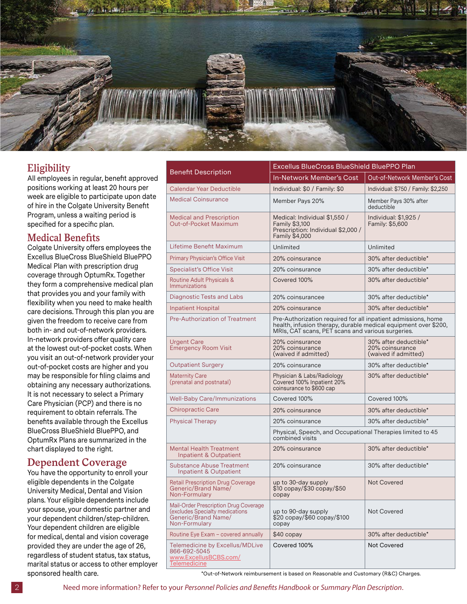

#### **Eligibility**

All employees in regular, benefit approved positions working at least 20 hours per week are eligible to participate upon date of hire in the Colgate University Benefit Program, unless a waiting period is specified for a specific plan.

#### **Medical Benefits**

Colgate University offers employees the Excellus BlueCross BlueShield BluePPO Medical Plan with prescription drug coverage through OptumRx. Together they form a comprehensive medical plan that provides you and your family with flexibility when you need to make health care decisions. Through this plan you are given the freedom to receive care from both in- and out-of-network providers. In-network providers offer quality care at the lowest out-of-pocket costs. When you visit an out-of-network provider your out-of-pocket costs are higher and you may be responsible for filing claims and obtaining any necessary authorizations. It is not necessary to select a Primary Care Physician (PCP) and there is no requirement to obtain referrals. The benefits available through the Excellus BlueCross BlueShield BluePPO, and OptumRx Plans are summarized in the chart displayed to the right.

#### **Dependent Coverage**

You have the opportunity to enroll your eligible dependents in the Colgate University Medical, Dental and Vision plans. Your eligible dependents include your spouse, your domestic partner and your dependent children/step-children. Your dependent children are eligible for medical, dental and vision coverage provided they are under the age of 26, regardless of student status, tax status, marital status or access to other employer sponsored health care.

|                                                                                                                  | Excellus BlueCross BlueShield BluePPO Plan                                                                                                                                            |                                                                                     |  |  |
|------------------------------------------------------------------------------------------------------------------|---------------------------------------------------------------------------------------------------------------------------------------------------------------------------------------|-------------------------------------------------------------------------------------|--|--|
| <b>Benefit Description</b>                                                                                       | In-Network Member's Cost                                                                                                                                                              | Out-of-Network Member's Cost                                                        |  |  |
| Calendar Year Deductible                                                                                         | Individual: \$0 / Family: \$0                                                                                                                                                         | Individual: \$750 / Family: \$2,250                                                 |  |  |
| <b>Medical Coinsurance</b>                                                                                       | Member Pays 20%                                                                                                                                                                       | Member Pays 30% after<br>deductible                                                 |  |  |
| <b>Medical and Prescription</b><br>Out-of-Pocket Maximum                                                         | Medical: Individual \$1,550 /<br>Family \$3,100<br>Prescription: Individual \$2,000 /<br>Family \$4,000                                                                               | Individual: \$1,925 /<br>Family: \$5,600                                            |  |  |
| Lifetime Benefit Maximum                                                                                         | Unlimited                                                                                                                                                                             | Unlimited                                                                           |  |  |
| <b>Primary Physician's Office Visit</b>                                                                          | 20% coinsurance                                                                                                                                                                       | 30% after deductible*                                                               |  |  |
| <b>Specialist's Office Visit</b>                                                                                 | 20% coinsurance                                                                                                                                                                       | 30% after deductible*                                                               |  |  |
| Routine Adult Physicals &<br>Immunizations                                                                       | Covered 100%                                                                                                                                                                          | 30% after deductible*                                                               |  |  |
| <b>Diagnostic Tests and Labs</b>                                                                                 | 20% coinsurancee                                                                                                                                                                      | 30% after deductible*                                                               |  |  |
| <b>Inpatient Hospital</b>                                                                                        | 20% coinsurance                                                                                                                                                                       | 30% after deductible*                                                               |  |  |
| Pre-Authorization of Treatment                                                                                   | Pre-Authorization required for all inpatient admissions, home<br>health, infusion therapy, durable medical equipment over \$200,<br>MRIs, CAT scans, PET scans and various surgeries. |                                                                                     |  |  |
| Urgent Care<br><b>Emergency Room Visit</b>                                                                       | 20% coinsurance<br>20% coinsurance<br>(waived if admitted)                                                                                                                            | 30% after deductible*<br>20% coinsurance<br>(waived if admitted)                    |  |  |
| <b>Outpatient Surgery</b>                                                                                        | 20% coinsurance                                                                                                                                                                       | 30% after deductible*                                                               |  |  |
| <b>Maternity Care</b><br>(prenatal and postnatal)                                                                | Physician & Labs/Radiology<br>Covered 100% Inpatient 20%<br>coinsurance to \$600 cap                                                                                                  | 30% after deductible*                                                               |  |  |
| <b>Well-Baby Care/Immunizations</b>                                                                              | Covered 100%                                                                                                                                                                          | Covered 100%                                                                        |  |  |
| Chiropractic Care                                                                                                | 20% coinsurance                                                                                                                                                                       | 30% after deductible*                                                               |  |  |
| <b>Physical Therapy</b>                                                                                          | 20% coinsurance                                                                                                                                                                       | 30% after deductible*<br>Physical, Speech, and Occupational Therapies limited to 45 |  |  |
|                                                                                                                  | combined visits                                                                                                                                                                       |                                                                                     |  |  |
| <b>Mental Health Treatment</b><br>Inpatient & Outpatient                                                         | 20% coinsurance                                                                                                                                                                       | 30% after deductible*                                                               |  |  |
| <b>Substance Abuse Treatment</b><br>Inpatient & Outpatient                                                       | 20% coinsurance                                                                                                                                                                       | 30% after deductible*                                                               |  |  |
| <b>Retail Prescription Drug Coverage</b><br>Generic/Brand Name/<br>Non-Formulary                                 | up to 30-day supply<br>\$10 copay/\$30 copay/\$50<br>copay                                                                                                                            | <b>Not Covered</b>                                                                  |  |  |
| Mail-Order Prescription Drug Coverage<br>(excludes Specialty medications<br>Generic/Brand Name/<br>Non-Formulary | up to 90-day supply<br>\$20 copay/\$60 copay/\$100<br>copay                                                                                                                           | <b>Not Covered</b>                                                                  |  |  |
| Routine Eye Exam - covered annually                                                                              | \$40 copay                                                                                                                                                                            | 30% after deductible*                                                               |  |  |
| Telemedicine by Excellus/MDLive<br>866-692-5045<br>www.ExcellusBCBS.com/<br>Telemedicine                         | Covered 100%                                                                                                                                                                          | <b>Not Covered</b>                                                                  |  |  |

\*Out-of-Network reimbursement is based on Reasonable and Customary (R&C) Charges.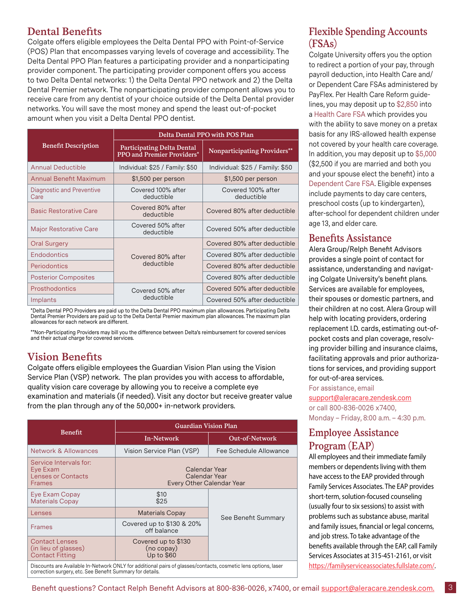## **Dental Benefits**

Colgate offers eligible employees the Delta Dental PPO with Point-of-Service (POS) Plan that encompasses varying levels of coverage and accessibility. The Delta Dental PPO Plan features a participating provider and a nonparticipating provider component. The participating provider component offers you access to two Delta Dental networks: 1) the Delta Dental PPO network and 2) the Delta Dental Premier network. The nonparticipating provider component allows you to receive care from any dentist of your choice outside of the Delta Dental provider networks. You will save the most money and spend the least out-of-pocket amount when you visit a Delta Dental PPO dentist.

|                                   | Delta Dental PPO with POS Plan                                         |                                  |  |
|-----------------------------------|------------------------------------------------------------------------|----------------------------------|--|
| <b>Benefit Description</b>        | <b>Participating Delta Dental</b><br><b>PPO</b> and Premier Providers* | Nonparticipating Providers**     |  |
| <b>Annual Deductible</b>          | Individual: \$25 / Family: \$50                                        | Individual: \$25 / Family: \$50  |  |
| <b>Annual Benefit Maximum</b>     | \$1,500 per person                                                     | \$1,500 per person               |  |
| Diagnostic and Preventive<br>Care | Covered 100% after<br>deductible                                       | Covered 100% after<br>deductible |  |
| <b>Basic Restorative Care</b>     | Covered 80% after<br>deductible                                        | Covered 80% after deductible     |  |
| <b>Major Restorative Care</b>     | Covered 50% after<br>deductible                                        | Covered 50% after deductible     |  |
| <b>Oral Surgery</b>               |                                                                        | Covered 80% after deductible     |  |
| Endodontics                       | Covered 80% after                                                      | Covered 80% after deductible     |  |
| Periodontics                      | deductible                                                             | Covered 80% after deductible     |  |
| <b>Posterior Composites</b>       |                                                                        | Covered 80% after deductible     |  |
| Prosthodontics                    | Covered 50% after                                                      | Covered 50% after deductible     |  |
| Implants                          | deductible                                                             | Covered 50% after deductible     |  |

\*Delta Dental PPO Providers are paid up to the Delta Dental PPO maximum plan allowances. Participating Delta Dental Premier Providers are paid up to the Delta Dental Premier maximum plan allowances. The maximum plan allowances for each network are different.

\*\*Non-Participating Providers may bill you the difference between Delta's reimbursement for covered services and their actual charge for covered services.

#### **Vision Benefits**

Colgate offers eligible employees the Guardian Vision Plan using the Vision Service Plan (VSP) network. The plan provides you with access to affordable, quality vision care coverage by allowing you to receive a complete eye examination and materials (if needed). Visit any doctor but receive greater value from the plan through any of the 50,000+ in-network providers.

|                                                                                  | <b>Guardian Vision Plan</b>                                 |                        |  |
|----------------------------------------------------------------------------------|-------------------------------------------------------------|------------------------|--|
| Benefit                                                                          | In-Network                                                  | <b>Out-of-Network</b>  |  |
| Network & Allowances                                                             | Vision Service Plan (VSP)                                   | Fee Schedule Allowance |  |
| Service Intervals for:<br>Eye Exam<br><b>Lenses or Contacts</b><br><b>Frames</b> | Calendar Year<br>Calendar Year<br>Every Other Calendar Year |                        |  |
| Eye Exam Copay<br><b>Materials Copay</b>                                         | \$10<br>\$25                                                |                        |  |
| Lenses                                                                           | <b>Materials Copay</b>                                      | See Benefit Summary    |  |
| <b>Frames</b>                                                                    | Covered up to \$130 & 20%<br>off balance                    |                        |  |
| <b>Contact Lenses</b><br>(in lieu of glasses)<br><b>Contact Fitting</b>          | Covered up to \$130<br>(no copy)<br>Up to \$60              |                        |  |

Discounts are Available In-Network ONLY for additional pairs of glasses/contacts, cosmetic lens options, laser correction surgery, etc. See Benefit Summary for details.

## **Flexible Spending Accounts (FSAs)**

Colgate University offers you the option to redirect a portion of your pay, through payroll deduction, into Health Care and/ or Dependent Care FSAs administered by PayFlex. Per Health Care Reform guidelines, you may deposit up to \$2,850 into a Health Care FSA which provides you with the ability to save money on a pretax basis for any IRS-allowed health expense not covered by your health care coverage. In addition, you may deposit up to \$5,000 (\$2,500 if you are married and both you and your spouse elect the benefit) into a Dependent Care FSA. Eligible expenses include payments to day care centers, preschool costs (up to kindergarten), after-school for dependent children under age 13, and elder care.

#### **Benefits Assistance**

Alera Group/Relph Benefit Advisors provides a single point of contact for assistance, understanding and navigating Colgate University's benefit plans. Services are available for employees, their spouses or domestic partners, and their children at no cost. Alera Group will help with locating providers, ordering replacement I.D. cards, estimating out-ofpocket costs and plan coverage, resolving provider billing and insurance claims, facilitating approvals and prior authorizations for services, and providing support for out-of-area services.

For assistance, email [support@aleracare.zendesk.com](http://support@aleracare.zendesk.com)

or call 800-836-0026 x7400, Monday – Friday, 8:00 a.m. – 4:30 p.m.

#### **Employee Assistance Program (EAP)**

All employees and their immediate family members or dependents living with them have access to the EAP provided through Family Services Associates. The EAP provides short-term, solution-focused counseling (usually four to six sessions) to assist with problems such as substance abuse, marital and family issues, financial or legal concerns, and job stress. To take advantage of the benefits available through the EAP, call Family Services Associates at 315-451-2161, or visit [https://familyserviceassociates.fullslate.com/.](https://familyserviceassociates.fullslate.com/)

3